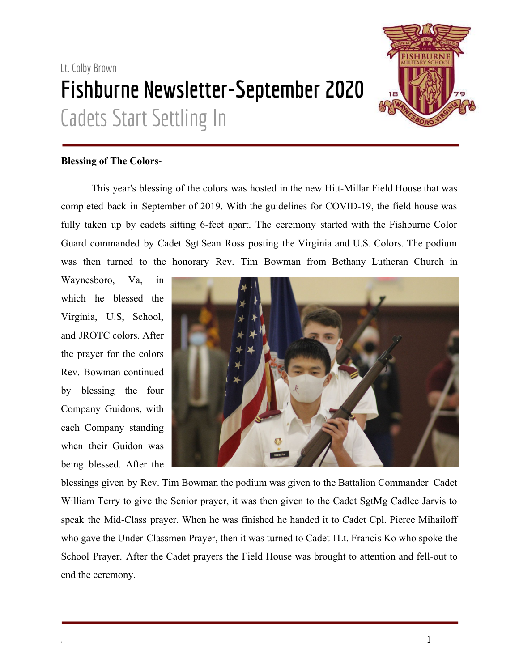# Lt. Colby Brown **Fishburne Newsletter-September 2020** Cadets Start Settling In



### **Blessing of The Colors**-

This year's blessing of the colors was hosted in the new Hitt-Millar Field House that was completed back in September of 2019. With the guidelines for COVID-19, the field house was fully taken up by cadets sitting 6-feet apart. The ceremony started with the Fishburne Color Guard commanded by Cadet Sgt.Sean Ross posting the Virginia and U.S. Colors. The podium was then turned to the honorary Rev. Tim Bowman from Bethany Lutheran Church in

Waynesboro, Va, in which he blessed the Virginia, U.S, School, and JROTC colors. After the prayer for the colors Rev. Bowman continued by blessing the four Company Guidons, with each Company standing when their Guidon was being blessed. After the



blessings given by Rev. Tim Bowman the podium was given to the Battalion Commander Cadet William Terry to give the Senior prayer, it was then given to the Cadet SgtMg Cadlee Jarvis to speak the Mid-Class prayer. When he was finished he handed it to Cadet Cpl. Pierce Mihailoff who gave the Under-Classmen Prayer, then it was turned to Cadet 1Lt. Francis Ko who spoke the School Prayer. After the Cadet prayers the Field House was brought to attention and fell-out to end the ceremony.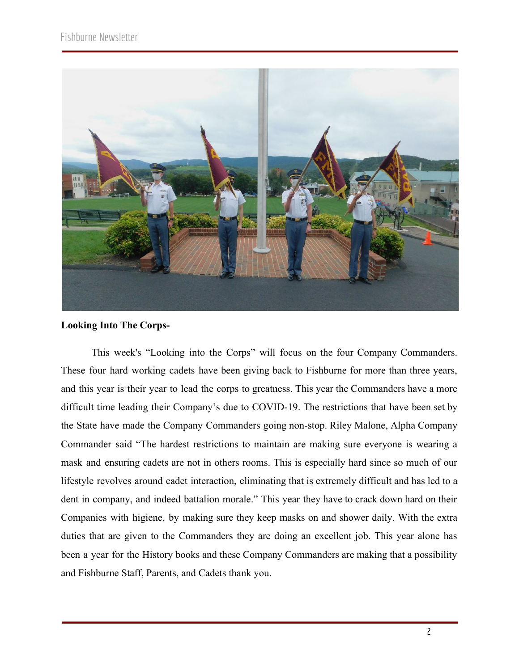

#### **Looking Into The Corps-**

This week's "Looking into the Corps" will focus on the four Company Commanders. These four hard working cadets have been giving back to Fishburne for more than three years, and this year is their year to lead the corps to greatness. This year the Commanders have a more difficult time leading their Company's due to COVID-19. The restrictions that have been set by the State have made the Company Commanders going non-stop. Riley Malone, Alpha Company Commander said "The hardest restrictions to maintain are making sure everyone is wearing a mask and ensuring cadets are not in others rooms. This is especially hard since so much of our lifestyle revolves around cadet interaction, eliminating that is extremely difficult and has led to a dent in company, and indeed battalion morale." This year they have to crack down hard on their Companies with higiene, by making sure they keep masks on and shower daily. With the extra duties that are given to the Commanders they are doing an excellent job. This year alone has been a year for the History books and these Company Commanders are making that a possibility and Fishburne Staff, Parents, and Cadets thank you.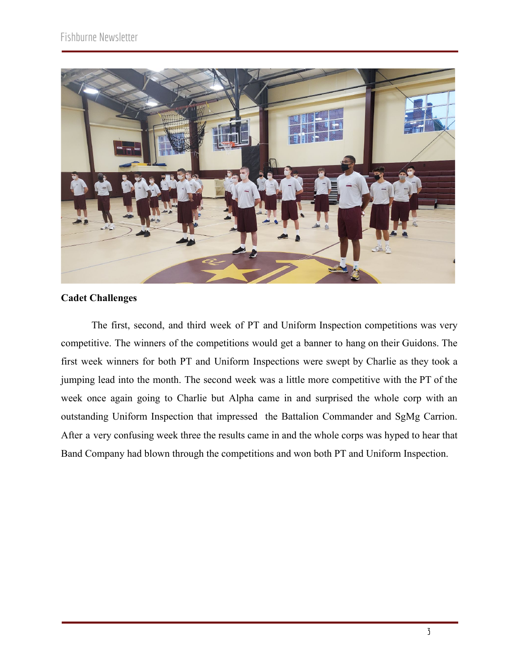

## **Cadet Challenges**

The first, second, and third week of PT and Uniform Inspection competitions was very competitive. The winners of the competitions would get a banner to hang on their Guidons. The first week winners for both PT and Uniform Inspections were swept by Charlie as they took a jumping lead into the month. The second week was a little more competitive with the PT of the week once again going to Charlie but Alpha came in and surprised the whole corp with an outstanding Uniform Inspection that impressed the Battalion Commander and SgMg Carrion. After a very confusing week three the results came in and the whole corps was hyped to hear that Band Company had blown through the competitions and won both PT and Uniform Inspection.